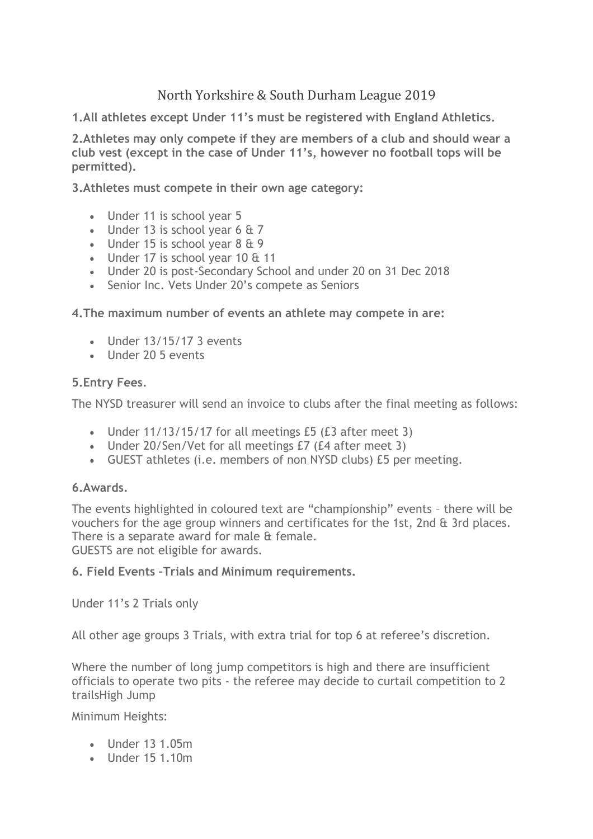# North Yorkshire & South Durham League 2019

**1.All athletes except Under 11's must be registered with England Athletics.**

**2.Athletes may only compete if they are members of a club and should wear a club vest (except in the case of Under 11's, however no football tops will be permitted).**

**3.Athletes must compete in their own age category:**

- Under 11 is school year 5
- Under 13 is school year 6 & 7
- Under 15 is school year  $8 \& 9$
- Under 17 is school year 10 & 11
- Under 20 is post-Secondary School and under 20 on 31 Dec 2018
- Senior Inc. Vets Under 20's compete as Seniors

**4.The maximum number of events an athlete may compete in are:**

- Under 13/15/17 3 events
- Under 20 5 events

## **5.Entry Fees.**

The NYSD treasurer will send an invoice to clubs after the final meeting as follows:

- Under 11/13/15/17 for all meetings £5 (£3 after meet 3)
- Under 20/Sen/Vet for all meetings £7 (£4 after meet 3)
- GUEST athletes (i.e. members of non NYSD clubs) £5 per meeting.

## **6.Awards.**

The events highlighted in coloured text are "championship" events – there will be vouchers for the age group winners and certificates for the 1st, 2nd & 3rd places. There is a separate award for male & female.

GUESTS are not eligible for awards.

## **6. Field Events –Trials and Minimum requirements.**

Under 11's 2 Trials only

All other age groups 3 Trials, with extra trial for top 6 at referee's discretion.

Where the number of long jump competitors is high and there are insufficient officials to operate two pits - the referee may decide to curtail competition to 2 trailsHigh Jump

Minimum Heights:

- Under 13 1.05m
- Under 15 1.10m